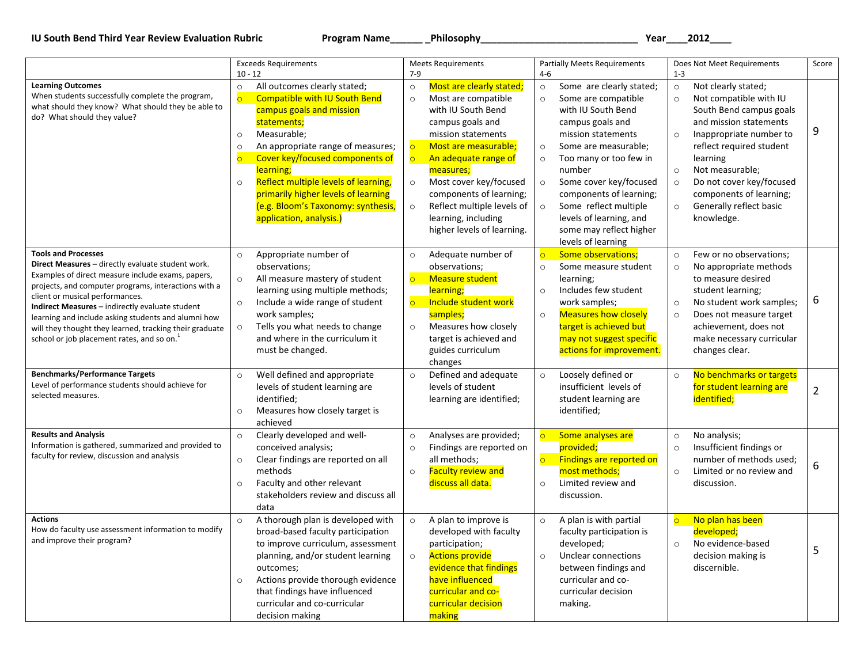## **IU South Bend Third Year Review Evaluation Rubric Program Name\_\_\_\_\_\_ \_Philosophy\_\_\_\_\_\_\_\_\_\_\_\_\_\_\_\_\_\_\_\_\_\_\_\_\_\_\_\_\_ Year\_\_\_\_2012\_\_\_\_**

|                                                                                                                                                                                                                                                                                                                                                                                                                                                                | <b>Exceeds Requirements</b>                                                                                                                                                                                                                                                                                                                                                                                                           | <b>Meets Requirements</b>                                                                                                                                                                                                                                                                                                                                                                         | <b>Partially Meets Requirements</b>                                                                                                                                                                                                                                                                                                                                                                     | Does Not Meet Requirements                                                                                                                                                                                                                                                                                                                                 | Score          |
|----------------------------------------------------------------------------------------------------------------------------------------------------------------------------------------------------------------------------------------------------------------------------------------------------------------------------------------------------------------------------------------------------------------------------------------------------------------|---------------------------------------------------------------------------------------------------------------------------------------------------------------------------------------------------------------------------------------------------------------------------------------------------------------------------------------------------------------------------------------------------------------------------------------|---------------------------------------------------------------------------------------------------------------------------------------------------------------------------------------------------------------------------------------------------------------------------------------------------------------------------------------------------------------------------------------------------|---------------------------------------------------------------------------------------------------------------------------------------------------------------------------------------------------------------------------------------------------------------------------------------------------------------------------------------------------------------------------------------------------------|------------------------------------------------------------------------------------------------------------------------------------------------------------------------------------------------------------------------------------------------------------------------------------------------------------------------------------------------------------|----------------|
|                                                                                                                                                                                                                                                                                                                                                                                                                                                                | $10 - 12$                                                                                                                                                                                                                                                                                                                                                                                                                             | $7 - 9$                                                                                                                                                                                                                                                                                                                                                                                           | $4 - 6$                                                                                                                                                                                                                                                                                                                                                                                                 | $1 - 3$                                                                                                                                                                                                                                                                                                                                                    |                |
| <b>Learning Outcomes</b><br>When students successfully complete the program,<br>what should they know? What should they be able to<br>do? What should they value?                                                                                                                                                                                                                                                                                              | All outcomes clearly stated;<br>$\circ$<br>$\circ$<br><b>Compatible with IU South Bend</b><br>campus goals and mission<br>statements;<br>Measurable;<br>$\circ$<br>An appropriate range of measures;<br>$\circ$<br>$\circ$<br>Cover key/focused components of<br>learning;<br>Reflect multiple levels of learning,<br>$\circ$<br>primarily higher levels of learning<br>(e.g. Bloom's Taxonomy: synthesis,<br>application, analysis.) | Most are clearly stated;<br>$\circ$<br>Most are compatible<br>$\circ$<br>with IU South Bend<br>campus goals and<br>mission statements<br>Most are measurable;<br>$\overline{\circ}$<br>$\circ$<br>An adequate range of<br>measures;<br>Most cover key/focused<br>$\circ$<br>components of learning;<br>Reflect multiple levels of<br>$\circ$<br>learning, including<br>higher levels of learning. | Some are clearly stated;<br>$\circ$<br>Some are compatible<br>$\circ$<br>with IU South Bend<br>campus goals and<br>mission statements<br>Some are measurable;<br>$\circ$<br>Too many or too few in<br>$\circ$<br>number<br>Some cover key/focused<br>$\circ$<br>components of learning;<br>Some reflect multiple<br>$\circ$<br>levels of learning, and<br>some may reflect higher<br>levels of learning | Not clearly stated;<br>$\circ$<br>Not compatible with IU<br>$\circ$<br>South Bend campus goals<br>and mission statements<br>Inappropriate number to<br>$\circ$<br>reflect required student<br>learning<br>Not measurable;<br>$\circ$<br>Do not cover key/focused<br>$\circ$<br>components of learning;<br>Generally reflect basic<br>$\circ$<br>knowledge. | 9              |
| <b>Tools and Processes</b><br>Direct Measures - directly evaluate student work.<br>Examples of direct measure include exams, papers,<br>projects, and computer programs, interactions with a<br>client or musical performances.<br>Indirect Measures - indirectly evaluate student<br>learning and include asking students and alumni how<br>will they thought they learned, tracking their graduate<br>school or job placement rates, and so on. <sup>1</sup> | Appropriate number of<br>$\circ$<br>observations;<br>All measure mastery of student<br>$\circ$<br>learning using multiple methods;<br>Include a wide range of student<br>$\circ$<br>work samples;<br>Tells you what needs to change<br>$\circ$<br>and where in the curriculum it<br>must be changed.                                                                                                                                  | Adequate number of<br>$\circ$<br>observations;<br>$\overline{\circ}$<br><b>Measure student</b><br>learning;<br>$\overline{\mathsf{C}}$<br>Include student work<br>samples;<br>Measures how closely<br>$\circ$<br>target is achieved and<br>guides curriculum<br>changes                                                                                                                           | <b>Some observations;</b><br>$\circ$<br>Some measure student<br>$\circ$<br>learning;<br>Includes few student<br>$\circ$<br>work samples;<br><b>Measures how closely</b><br>$\circ$<br>target is achieved but<br>may not suggest specific<br>actions for improvement.                                                                                                                                    | Few or no observations;<br>$\circ$<br>No appropriate methods<br>$\circ$<br>to measure desired<br>student learning;<br>No student work samples;<br>$\circ$<br>Does not measure target<br>$\circ$<br>achievement, does not<br>make necessary curricular<br>changes clear.                                                                                    | 6              |
| <b>Benchmarks/Performance Targets</b><br>Level of performance students should achieve for<br>selected measures.                                                                                                                                                                                                                                                                                                                                                | Well defined and appropriate<br>$\circ$<br>levels of student learning are<br>identified;<br>Measures how closely target is<br>$\circ$<br>achieved                                                                                                                                                                                                                                                                                     | Defined and adequate<br>$\circ$<br>levels of student<br>learning are identified;                                                                                                                                                                                                                                                                                                                  | Loosely defined or<br>$\circ$<br>insufficient levels of<br>student learning are<br>identified;                                                                                                                                                                                                                                                                                                          | No benchmarks or targets<br>$\circ$<br>for student learning are<br>identified;                                                                                                                                                                                                                                                                             | $\overline{2}$ |
| <b>Results and Analysis</b><br>Information is gathered, summarized and provided to<br>faculty for review, discussion and analysis                                                                                                                                                                                                                                                                                                                              | Clearly developed and well-<br>$\circ$<br>conceived analysis;<br>$\circ$<br>Clear findings are reported on all<br>methods<br>Faculty and other relevant<br>$\circ$<br>stakeholders review and discuss all<br>data                                                                                                                                                                                                                     | Analyses are provided;<br>$\circ$<br>Findings are reported on<br>$\circ$<br>all methods;<br><b>Faculty review and</b><br>$\circ$<br>discuss all data.                                                                                                                                                                                                                                             | Some analyses are<br>$\overline{\circ}$<br>provided;<br>Findings are reported on<br>$\overline{\circ}$<br>most methods;<br>Limited review and<br>$\circ$<br>discussion.                                                                                                                                                                                                                                 | No analysis;<br>$\circ$<br>Insufficient findings or<br>$\circ$<br>number of methods used;<br>Limited or no review and<br>$\circ$<br>discussion.                                                                                                                                                                                                            | 6              |
| <b>Actions</b><br>How do faculty use assessment information to modify<br>and improve their program?                                                                                                                                                                                                                                                                                                                                                            | A thorough plan is developed with<br>$\circ$<br>broad-based faculty participation<br>to improve curriculum, assessment<br>planning, and/or student learning<br>outcomes;<br>Actions provide thorough evidence<br>$\circ$<br>that findings have influenced<br>curricular and co-curricular<br>decision making                                                                                                                          | A plan to improve is<br>$\circ$<br>developed with faculty<br>participation;<br><b>Actions provide</b><br>$\circ$<br>evidence that findings<br>have influenced<br>curricular and co-<br>curricular decision<br>making                                                                                                                                                                              | A plan is with partial<br>$\circ$<br>faculty participation is<br>developed;<br>Unclear connections<br>$\circ$<br>between findings and<br>curricular and co-<br>curricular decision<br>making.                                                                                                                                                                                                           | No plan has been<br>$\overline{\mathsf{C}}$<br>developed;<br>No evidence-based<br>$\circ$<br>decision making is<br>discernible.                                                                                                                                                                                                                            | 5              |